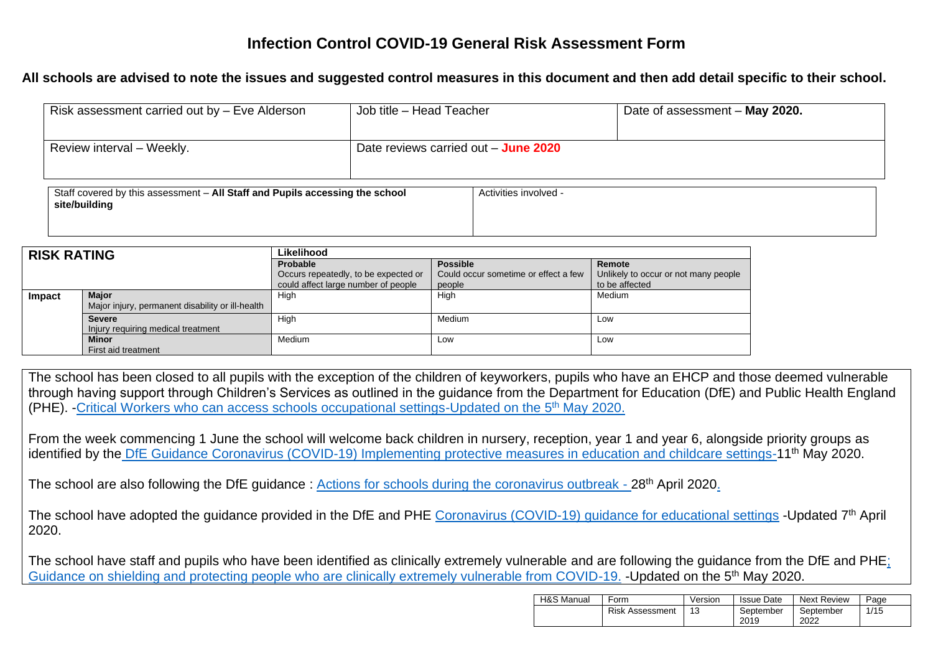## **Infection Control COVID-19 General Risk Assessment Form**

## **All schools are advised to note the issues and suggested control measures in this document and then add detail specific to their school.**

| Risk assessment carried out by - Eve Alderson                                                 | Job title - Head Teacher               |                       | Date of assessment - May 2020. |  |  |
|-----------------------------------------------------------------------------------------------|----------------------------------------|-----------------------|--------------------------------|--|--|
| Review interval - Weekly.                                                                     | Date reviews carried out $-$ June 2020 |                       |                                |  |  |
| Staff covered by this assessment - All Staff and Pupils accessing the school<br>site/building |                                        | Activities involved - |                                |  |  |

| <b>RISK RATING</b> |                                                  | Likelihood                           |                                      |                                      |  |  |
|--------------------|--------------------------------------------------|--------------------------------------|--------------------------------------|--------------------------------------|--|--|
|                    |                                                  | <b>Probable</b>                      | <b>Possible</b>                      | Remote                               |  |  |
|                    |                                                  | Occurs repeatedly, to be expected or | Could occur sometime or effect a few | Unlikely to occur or not many people |  |  |
|                    |                                                  | could affect large number of people  | people                               | to be affected                       |  |  |
| Impact             | <b>Major</b>                                     | High                                 | High                                 | Medium                               |  |  |
|                    | Major injury, permanent disability or ill-health |                                      |                                      |                                      |  |  |
|                    | <b>Severe</b>                                    | High                                 | <b>Medium</b>                        | Low                                  |  |  |
|                    | Injury requiring medical treatment               |                                      |                                      |                                      |  |  |
|                    | <b>Minor</b>                                     | Medium                               | Low                                  | Low                                  |  |  |
|                    | First aid treatment                              |                                      |                                      |                                      |  |  |

The school has been closed to all pupils with the exception of the children of keyworkers, pupils who have an EHCP and those deemed vulnerable through having support through Children's Services as outlined in the guidance from the Department for Education (DfE) and Public Health England (PHE). -Critical Workers who can access schools occupational settings-Updated on the  $5<sup>th</sup>$  May 2020.

From the week commencing 1 June the school will welcome back children in nursery, reception, year 1 and year 6, alongside priority groups as identified by the [DfE Guidance Coronavirus \(COVID-19\) Implementing protective measures in education and childcare settings-1](https://www.gov.uk/government/publications/coronavirus-covid-19-implementing-protective-measures-in-education-and-childcare-settings/coronavirus-covid-19-implementing-protective-measures-in-education-and-childcare-settings)1th May 2020.

The school are also following the DfE guidance: [Actions for schools during the coronavirus outbreak -](https://www.gov.uk/government/publications/covid-19-school-closures/guidance-for-schools-about-temporarily-closing) 28<sup>th</sup> April 2020.

The school have adopted the guidance provided in the DfE and PHE [Coronavirus \(COVID-19\) guidance for educational settings](https://www.gov.uk/government/publications/guidance-to-educational-settings-about-covid-19/guidance-to-educational-settings-about-covid-19) -Updated 7<sup>th</sup> April 2020.

The school have staff and pupils who have been identified as clinically extremely vulnerable and are following the guidance from the DfE and PH[E;](https://www.gov.uk/government/publications/guidance-on-shielding-and-protecting-extremely-vulnerable-persons-from-covid-19/guidance-on-shielding-and-protecting-extremely-vulnerable-persons-from-covid-19)  [Guidance on shielding and protecting people who are clinically extremely vulnerable from COVID-19.](https://www.gov.uk/government/publications/guidance-on-shielding-and-protecting-extremely-vulnerable-persons-from-covid-19/guidance-on-shielding-and-protecting-extremely-vulnerable-persons-from-covid-19) -Updated on the 5th May 2020.

| H&S Manual | Form                   | Version | <b>Issue Date</b> | <b>Next Review</b> | Page |
|------------|------------------------|---------|-------------------|--------------------|------|
|            | <b>Risk Assessment</b> |         | September<br>2019 | September<br>2022  | 1/15 |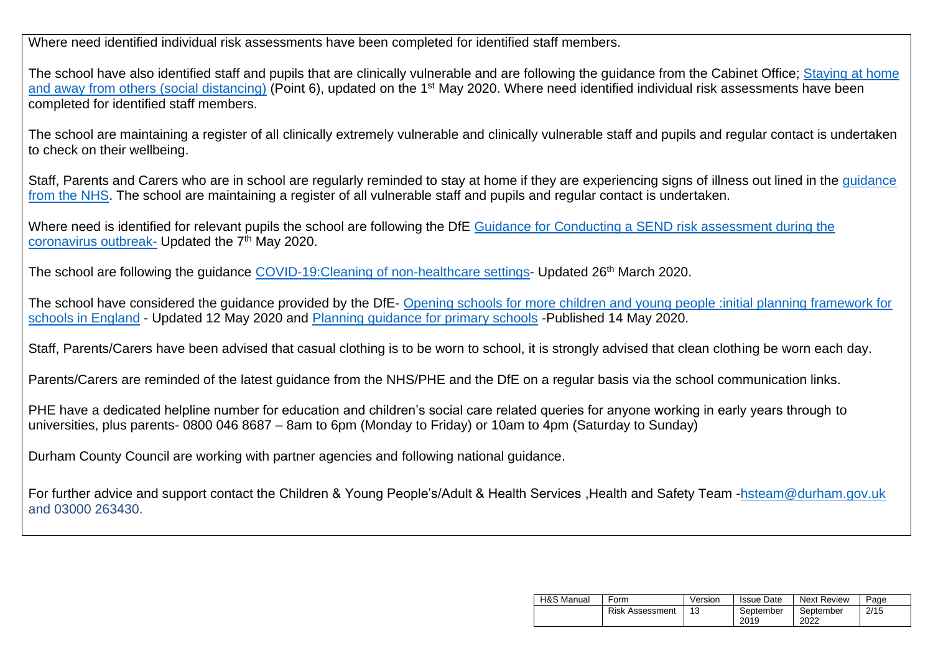Where need identified individual risk assessments have been completed for identified staff members.

The school have also identified staff and pupils that are clinically vulnerable and are following the quidance from the Cabinet Office; Staying at home [and away from others \(social distancing\)](https://www.gov.uk/government/publications/full-guidance-on-staying-at-home-and-away-from-others/full-guidance-on-staying-at-home-and-away-from-others) (Point 6), updated on the 1st May 2020. Where need identified individual risk assessments have been completed for identified staff members.

The school are maintaining a register of all clinically extremely vulnerable and clinically vulnerable staff and pupils and regular contact is undertaken to check on their wellbeing.

Staff, Parents and Carers who are in school are regularly reminded to stay at home if they are experiencing signs of illness out lined in the quidance [from the NHS.](https://www.nhs.uk/conditions/coronavirus-covid-19/check-if-you-have-coronavirus-symptoms/) The school are maintaining a register of all vulnerable staff and pupils and regular contact is undertaken.

Where need is identified for relevant pupils the school are following the DfE Guidance for Conducting a SEND risk assessment during the [coronavirus outbreak-](https://www.gov.uk/government/publications/coronavirus-covid-19-send-risk-assessment-guidance/coronavirus-covid-19-send-risk-assessment-guidance) Updated the 7<sup>th</sup> May 2020.

The school are following the guidance COVID-19: Cleaning of non-healthcare settings- Updated 26<sup>th</sup> March 2020.

The school have considered the guidance provided by the DfE- [Opening schools for more children and young people :initial planning framework for](https://www.gov.uk/government/publications/actions-for-educational-and-childcare-settings-to-prepare-for-wider-opening-from-1-june-2020/opening-schools-for-more-children-and-young-people-initial-planning-framework-for-schools-in-england)  [schools in England](https://www.gov.uk/government/publications/actions-for-educational-and-childcare-settings-to-prepare-for-wider-opening-from-1-june-2020/opening-schools-for-more-children-and-young-people-initial-planning-framework-for-schools-in-england) - Updated 12 May 2020 and [Planning guidance for primary schools](https://www.gov.uk/government/publications/preparing-for-the-wider-opening-of-schools-from-1-june/planning-guide-for-primary-schools) -Published 14 May 2020.

Staff, Parents/Carers have been advised that casual clothing is to be worn to school, it is strongly advised that clean clothing be worn each day.

Parents/Carers are reminded of the latest guidance from the NHS/PHE and the DfE on a regular basis via the school communication links.

PHE have a dedicated helpline number for education and children's social care related queries for anyone working in early years through to universities, plus parents- 0800 046 8687 – 8am to 6pm (Monday to Friday) or 10am to 4pm (Saturday to Sunday)

Durham County Council are working with partner agencies and following national guidance.

For further advice and support contact the Children & Young People's/Adult & Health Services ,Health and Safety Team [-hsteam@durham.gov.uk](mailto:hsteam@durham.gov.uk) and 03000 263430.

| H&S Manual | Form                   | Version | <b>Issue Date</b> | Next Review       | Page |
|------------|------------------------|---------|-------------------|-------------------|------|
|            | <b>Risk Assessment</b> |         | September<br>2019 | September<br>2022 | 2/15 |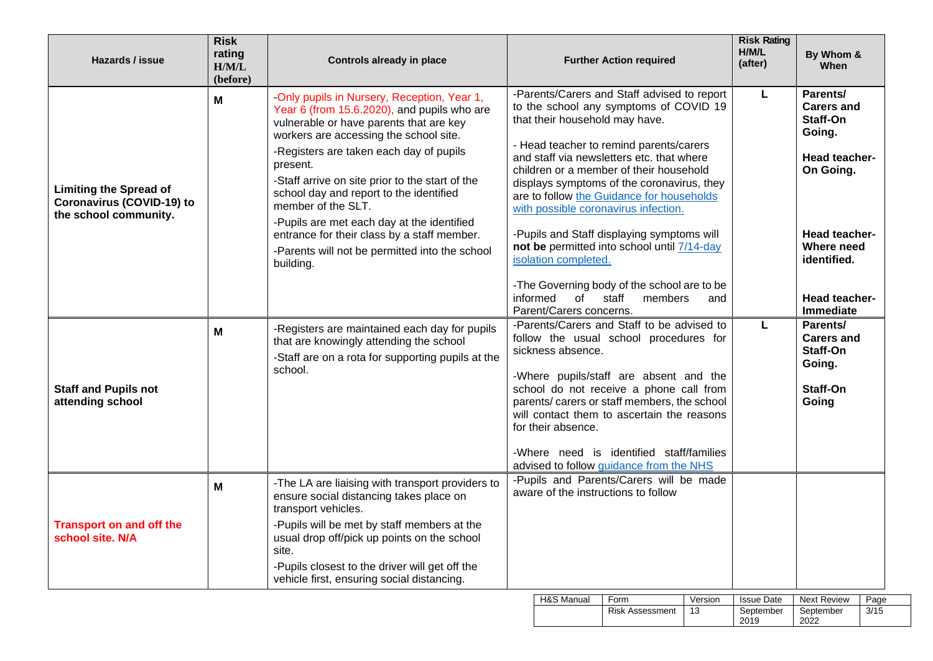| Hazards / issue                                                                            | <b>Risk</b><br>rating<br>H/M/L<br>(before) | <b>Controls already in place</b>                                                                                                                                                                                                                                                                                                                                                                                                                                                                                       | <b>Further Action required</b>                                                                                                                                                                                                                                                                                                                                                                                                                                                                                                                                                                                                         | <b>Risk Rating</b><br>H/M/L<br>(after) | By Whom &<br>When                                                                                                                                                                  |
|--------------------------------------------------------------------------------------------|--------------------------------------------|------------------------------------------------------------------------------------------------------------------------------------------------------------------------------------------------------------------------------------------------------------------------------------------------------------------------------------------------------------------------------------------------------------------------------------------------------------------------------------------------------------------------|----------------------------------------------------------------------------------------------------------------------------------------------------------------------------------------------------------------------------------------------------------------------------------------------------------------------------------------------------------------------------------------------------------------------------------------------------------------------------------------------------------------------------------------------------------------------------------------------------------------------------------------|----------------------------------------|------------------------------------------------------------------------------------------------------------------------------------------------------------------------------------|
| <b>Limiting the Spread of</b><br><b>Coronavirus (COVID-19) to</b><br>the school community. | М                                          | -Only pupils in Nursery, Reception, Year 1,<br>Year 6 (from 15.6.2020), and pupils who are<br>vulnerable or have parents that are key<br>workers are accessing the school site.<br>-Registers are taken each day of pupils<br>present.<br>-Staff arrive on site prior to the start of the<br>school day and report to the identified<br>member of the SLT.<br>-Pupils are met each day at the identified<br>entrance for their class by a staff member.<br>-Parents will not be permitted into the school<br>building. | -Parents/Carers and Staff advised to report<br>to the school any symptoms of COVID 19<br>that their household may have.<br>- Head teacher to remind parents/carers<br>and staff via newsletters etc. that where<br>children or a member of their household<br>displays symptoms of the coronavirus, they<br>are to follow the Guidance for households<br>with possible coronavirus infection.<br>-Pupils and Staff displaying symptoms will<br>not be permitted into school until 7/14-day<br>isolation completed.<br>-The Governing body of the school are to be<br>informed<br>of staff<br>members<br>and<br>Parent/Carers concerns. | L                                      | Parents/<br>Carers and<br>Staff-On<br>Going.<br><b>Head teacher-</b><br>On Going.<br><b>Head teacher-</b><br>Where need<br>identified.<br><b>Head teacher-</b><br><b>Immediate</b> |
| <b>Staff and Pupils not</b><br>attending school                                            | M                                          | -Registers are maintained each day for pupils<br>that are knowingly attending the school<br>-Staff are on a rota for supporting pupils at the<br>school.                                                                                                                                                                                                                                                                                                                                                               | -Parents/Carers and Staff to be advised to<br>follow the usual school procedures for<br>sickness absence.<br>-Where pupils/staff are absent and the<br>school do not receive a phone call from<br>parents/ carers or staff members, the school<br>will contact them to ascertain the reasons<br>for their absence.<br>-Where need is identified staff/families<br>advised to follow guidance from the NHS                                                                                                                                                                                                                              | L                                      | Parents/<br><b>Carers and</b><br>Staff-On<br>Going.<br>Staff-On<br>Going                                                                                                           |
| <b>Transport on and off the</b><br>school site. N/A                                        | М                                          | -The LA are liaising with transport providers to<br>ensure social distancing takes place on<br>transport vehicles.<br>-Pupils will be met by staff members at the<br>usual drop off/pick up points on the school<br>site.<br>-Pupils closest to the driver will get off the<br>vehicle first, ensuring social distancing.                                                                                                                                                                                              | -Pupils and Parents/Carers will be made<br>aware of the instructions to follow<br>H&S Manual<br>Form<br>Version                                                                                                                                                                                                                                                                                                                                                                                                                                                                                                                        | <b>Issue Date</b>                      | Page<br><b>Next Review</b>                                                                                                                                                         |

Risk Assessment 13

September<br>2019

September 2022

 $3/15$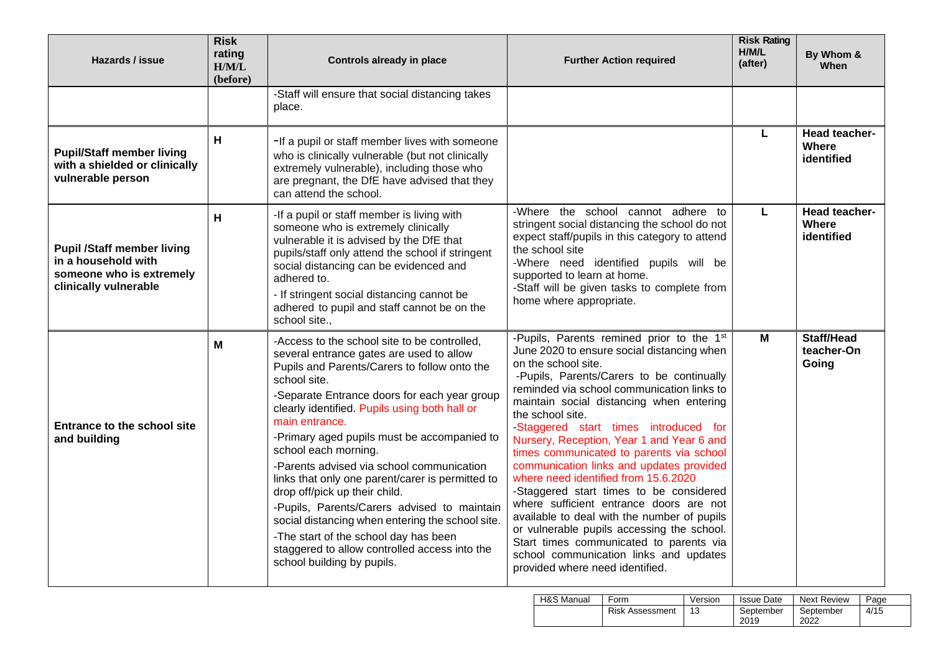| <b>Risk</b><br>rating<br>Hazards / issue<br>H/M/L<br>(before)                                                 |   | <b>Controls already in place</b>                                                                                                                                                                                                                                                                                                                                                                                                                                                                                                                                                                                                                                                                                | <b>Further Action required</b>                                                                                                                                                                                                                                                                                                                                                                                                                                                                                                                                                                                                                                                                                                                                                                             | <b>Risk Rating</b><br>H/M/L<br>(after) | By Whom &<br><b>When</b>                    |
|---------------------------------------------------------------------------------------------------------------|---|-----------------------------------------------------------------------------------------------------------------------------------------------------------------------------------------------------------------------------------------------------------------------------------------------------------------------------------------------------------------------------------------------------------------------------------------------------------------------------------------------------------------------------------------------------------------------------------------------------------------------------------------------------------------------------------------------------------------|------------------------------------------------------------------------------------------------------------------------------------------------------------------------------------------------------------------------------------------------------------------------------------------------------------------------------------------------------------------------------------------------------------------------------------------------------------------------------------------------------------------------------------------------------------------------------------------------------------------------------------------------------------------------------------------------------------------------------------------------------------------------------------------------------------|----------------------------------------|---------------------------------------------|
|                                                                                                               |   | -Staff will ensure that social distancing takes<br>place.                                                                                                                                                                                                                                                                                                                                                                                                                                                                                                                                                                                                                                                       |                                                                                                                                                                                                                                                                                                                                                                                                                                                                                                                                                                                                                                                                                                                                                                                                            |                                        |                                             |
| <b>Pupil/Staff member living</b><br>with a shielded or clinically<br>vulnerable person                        | н | -If a pupil or staff member lives with someone<br>who is clinically vulnerable (but not clinically<br>extremely vulnerable), including those who<br>are pregnant, the DfE have advised that they<br>can attend the school.                                                                                                                                                                                                                                                                                                                                                                                                                                                                                      |                                                                                                                                                                                                                                                                                                                                                                                                                                                                                                                                                                                                                                                                                                                                                                                                            | L                                      | Head teacher-<br><b>Where</b><br>identified |
| <b>Pupil /Staff member living</b><br>in a household with<br>someone who is extremely<br>clinically vulnerable | н | -If a pupil or staff member is living with<br>someone who is extremely clinically<br>vulnerable it is advised by the DfE that<br>pupils/staff only attend the school if stringent<br>social distancing can be evidenced and<br>adhered to.<br>- If stringent social distancing cannot be<br>adhered to pupil and staff cannot be on the<br>school site                                                                                                                                                                                                                                                                                                                                                          | -Where the school cannot adhere to<br>stringent social distancing the school do not<br>expect staff/pupils in this category to attend<br>the school site<br>-Where need identified pupils will be<br>supported to learn at home.<br>-Staff will be given tasks to complete from<br>home where appropriate.                                                                                                                                                                                                                                                                                                                                                                                                                                                                                                 | L                                      | <b>Head teacher-</b><br>Where<br>identified |
| <b>Entrance to the school site</b><br>and building                                                            | М | -Access to the school site to be controlled,<br>several entrance gates are used to allow<br>Pupils and Parents/Carers to follow onto the<br>school site.<br>-Separate Entrance doors for each year group<br>clearly identified. Pupils using both hall or<br>main entrance.<br>-Primary aged pupils must be accompanied to<br>school each morning.<br>-Parents advised via school communication<br>links that only one parent/carer is permitted to<br>drop off/pick up their child.<br>-Pupils, Parents/Carers advised to maintain<br>social distancing when entering the school site.<br>-The start of the school day has been<br>staggered to allow controlled access into the<br>school building by pupils. | -Pupils, Parents remined prior to the 1st<br>June 2020 to ensure social distancing when<br>on the school site.<br>-Pupils, Parents/Carers to be continually<br>reminded via school communication links to<br>maintain social distancing when entering<br>the school site.<br>-Staggered start times introduced for<br>Nursery, Reception, Year 1 and Year 6 and<br>times communicated to parents via school<br>communication links and updates provided<br>where need identified from 15.6.2020<br>-Staggered start times to be considered<br>where sufficient entrance doors are not<br>available to deal with the number of pupils<br>or vulnerable pupils accessing the school.<br>Start times communicated to parents via<br>school communication links and updates<br>provided where need identified. | М                                      | Staff/Head<br>teacher-On<br>Going           |

| <b>H&amp;S Manual</b> | Form                   | Version | <b>Issue Date</b> | <b>Next Review</b> | Page |
|-----------------------|------------------------|---------|-------------------|--------------------|------|
|                       | <b>Risk Assessment</b> | 13      | September<br>2019 | September<br>2022  | 4/15 |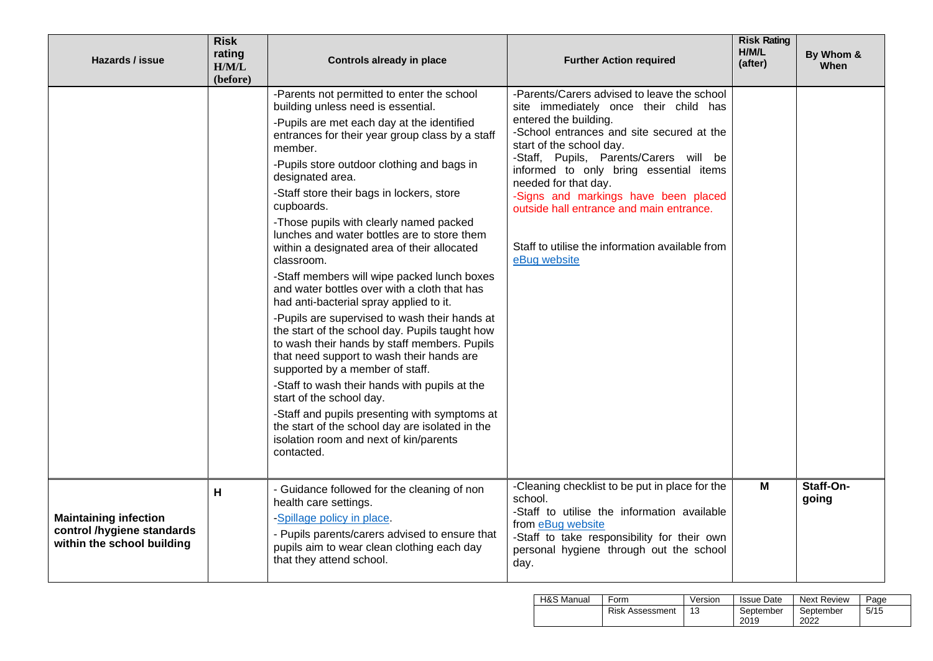| Hazards / issue                                                                          | <b>Risk</b><br>rating<br>H/M/L<br>(before) | <b>Controls already in place</b>                                                                                                                                                                                                                                                                                                                                                                                                                                                                                                                                                                                                                                                                                                                                                                                                                                                                                                                                                                                                                                                                       | <b>Further Action required</b>                                                                                                                                                                                                                                                                                                                                                                                                                            | <b>Risk Rating</b><br>H/M/L<br>(after) | By Whom &<br>When  |
|------------------------------------------------------------------------------------------|--------------------------------------------|--------------------------------------------------------------------------------------------------------------------------------------------------------------------------------------------------------------------------------------------------------------------------------------------------------------------------------------------------------------------------------------------------------------------------------------------------------------------------------------------------------------------------------------------------------------------------------------------------------------------------------------------------------------------------------------------------------------------------------------------------------------------------------------------------------------------------------------------------------------------------------------------------------------------------------------------------------------------------------------------------------------------------------------------------------------------------------------------------------|-----------------------------------------------------------------------------------------------------------------------------------------------------------------------------------------------------------------------------------------------------------------------------------------------------------------------------------------------------------------------------------------------------------------------------------------------------------|----------------------------------------|--------------------|
|                                                                                          |                                            | -Parents not permitted to enter the school<br>building unless need is essential.<br>-Pupils are met each day at the identified<br>entrances for their year group class by a staff<br>member.<br>-Pupils store outdoor clothing and bags in<br>designated area.<br>-Staff store their bags in lockers, store<br>cupboards.<br>-Those pupils with clearly named packed<br>lunches and water bottles are to store them<br>within a designated area of their allocated<br>classroom.<br>-Staff members will wipe packed lunch boxes<br>and water bottles over with a cloth that has<br>had anti-bacterial spray applied to it.<br>-Pupils are supervised to wash their hands at<br>the start of the school day. Pupils taught how<br>to wash their hands by staff members. Pupils<br>that need support to wash their hands are<br>supported by a member of staff.<br>-Staff to wash their hands with pupils at the<br>start of the school day.<br>-Staff and pupils presenting with symptoms at<br>the start of the school day are isolated in the<br>isolation room and next of kin/parents<br>contacted. | -Parents/Carers advised to leave the school<br>site immediately once their child has<br>entered the building.<br>-School entrances and site secured at the<br>start of the school day.<br>-Staff, Pupils, Parents/Carers will be<br>informed to only bring essential items<br>needed for that day.<br>-Signs and markings have been placed<br>outside hall entrance and main entrance.<br>Staff to utilise the information available from<br>eBug website |                                        |                    |
| <b>Maintaining infection</b><br>control /hygiene standards<br>within the school building | H                                          | - Guidance followed for the cleaning of non<br>health care settings.<br>-Spillage policy in place.<br>- Pupils parents/carers advised to ensure that<br>pupils aim to wear clean clothing each day<br>that they attend school.                                                                                                                                                                                                                                                                                                                                                                                                                                                                                                                                                                                                                                                                                                                                                                                                                                                                         | -Cleaning checklist to be put in place for the<br>school.<br>-Staff to utilise the information available<br>from eBug website<br>-Staff to take responsibility for their own<br>personal hygiene through out the school<br>day.                                                                                                                                                                                                                           | M                                      | Staff-On-<br>going |

| H&S Manual | Form                   | Version | <b>Issue Date</b> | Next Review       | Page |
|------------|------------------------|---------|-------------------|-------------------|------|
|            | <b>Risk Assessment</b> |         | September<br>2019 | September<br>2022 | 5/15 |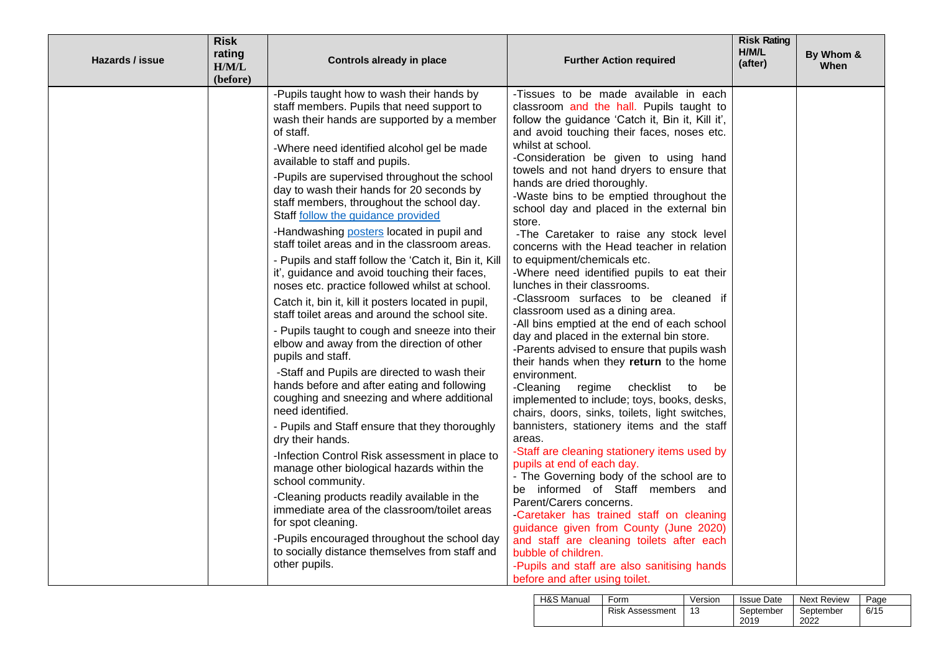| Hazards / issue | <b>Risk</b><br>rating<br>H/M/L<br>(before) | <b>Controls already in place</b>                                                                                                                                                                                                                                                                                                                                                                                                                                                                                                                                                                                                                                                                                                                                                                                                                                                                                                                                                                                                                                                                                                                                                                                                                                                                                                                                                                                                                                                                                | <b>Further Action required</b>                                                                                                                                                                                                                                                                                                                                                                                                                                                                                                                                                                                                                                                                                                                                                                                                                                                                                                                                                                                                                                                                                                                                                                                                                                                                                                                                                                                                                                                                                                                                          | <b>Risk Rating</b><br>H/M/L<br>(after) | By Whom &<br>When |
|-----------------|--------------------------------------------|-----------------------------------------------------------------------------------------------------------------------------------------------------------------------------------------------------------------------------------------------------------------------------------------------------------------------------------------------------------------------------------------------------------------------------------------------------------------------------------------------------------------------------------------------------------------------------------------------------------------------------------------------------------------------------------------------------------------------------------------------------------------------------------------------------------------------------------------------------------------------------------------------------------------------------------------------------------------------------------------------------------------------------------------------------------------------------------------------------------------------------------------------------------------------------------------------------------------------------------------------------------------------------------------------------------------------------------------------------------------------------------------------------------------------------------------------------------------------------------------------------------------|-------------------------------------------------------------------------------------------------------------------------------------------------------------------------------------------------------------------------------------------------------------------------------------------------------------------------------------------------------------------------------------------------------------------------------------------------------------------------------------------------------------------------------------------------------------------------------------------------------------------------------------------------------------------------------------------------------------------------------------------------------------------------------------------------------------------------------------------------------------------------------------------------------------------------------------------------------------------------------------------------------------------------------------------------------------------------------------------------------------------------------------------------------------------------------------------------------------------------------------------------------------------------------------------------------------------------------------------------------------------------------------------------------------------------------------------------------------------------------------------------------------------------------------------------------------------------|----------------------------------------|-------------------|
|                 |                                            | -Pupils taught how to wash their hands by<br>staff members. Pupils that need support to<br>wash their hands are supported by a member<br>of staff.<br>-Where need identified alcohol gel be made<br>available to staff and pupils.<br>-Pupils are supervised throughout the school<br>day to wash their hands for 20 seconds by<br>staff members, throughout the school day.<br>Staff follow the guidance provided<br>-Handwashing posters located in pupil and<br>staff toilet areas and in the classroom areas.<br>- Pupils and staff follow the 'Catch it, Bin it, Kill<br>it', guidance and avoid touching their faces,<br>noses etc. practice followed whilst at school.<br>Catch it, bin it, kill it posters located in pupil,<br>staff toilet areas and around the school site.<br>- Pupils taught to cough and sneeze into their<br>elbow and away from the direction of other<br>pupils and staff.<br>-Staff and Pupils are directed to wash their<br>hands before and after eating and following<br>coughing and sneezing and where additional<br>need identified.<br>- Pupils and Staff ensure that they thoroughly<br>dry their hands.<br>-Infection Control Risk assessment in place to<br>manage other biological hazards within the<br>school community.<br>-Cleaning products readily available in the<br>immediate area of the classroom/toilet areas<br>for spot cleaning.<br>-Pupils encouraged throughout the school day<br>to socially distance themselves from staff and<br>other pupils. | -Tissues to be made available in each<br>classroom and the hall. Pupils taught to<br>follow the guidance 'Catch it, Bin it, Kill it',<br>and avoid touching their faces, noses etc.<br>whilst at school.<br>-Consideration be given to using hand<br>towels and not hand dryers to ensure that<br>hands are dried thoroughly.<br>-Waste bins to be emptied throughout the<br>school day and placed in the external bin<br>store.<br>-The Caretaker to raise any stock level<br>concerns with the Head teacher in relation<br>to equipment/chemicals etc.<br>-Where need identified pupils to eat their<br>lunches in their classrooms.<br>-Classroom surfaces to be cleaned if<br>classroom used as a dining area.<br>-All bins emptied at the end of each school<br>day and placed in the external bin store.<br>-Parents advised to ensure that pupils wash<br>their hands when they return to the home<br>environment.<br>checklist<br>-Cleaning<br>regime<br>to<br>be<br>implemented to include; toys, books, desks,<br>chairs, doors, sinks, toilets, light switches,<br>bannisters, stationery items and the staff<br>areas.<br>-Staff are cleaning stationery items used by<br>pupils at end of each day.<br>- The Governing body of the school are to<br>be informed of Staff members and<br>Parent/Carers concerns.<br>-Caretaker has trained staff on cleaning<br>guidance given from County (June 2020)<br>and staff are cleaning toilets after each<br>bubble of children.<br>-Pupils and staff are also sanitising hands<br>before and after using toilet. |                                        |                   |

| H&S Manual | Form                   | Version | <b>Issue Date</b> | <b>Next Review</b> | Page |
|------------|------------------------|---------|-------------------|--------------------|------|
|            | <b>Risk Assessment</b> | 13      | September<br>2019 | September<br>2022  | 6/15 |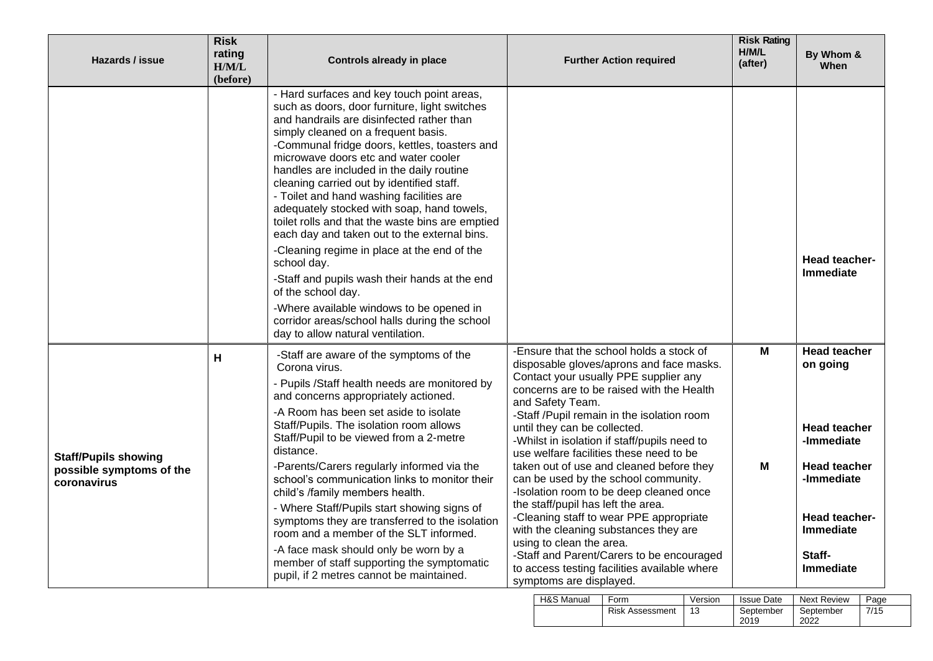| Hazards / issue                                                        | <b>Risk</b><br>rating<br>H/M/L<br>(before) | <b>Controls already in place</b>                                                                                                                                                                                                                                                                                                                                                                                                                                                                                                                                                                                                                                                                                                                                                                                                        | <b>Further Action required</b>                                                                                                                                                                                                                                                                                                                                                                                                                                                                                                                                                                                                                                                                                                                                                       | <b>Risk Rating</b><br>H/M/L<br>(after) | By Whom &<br>When                                                                                                                                              |
|------------------------------------------------------------------------|--------------------------------------------|-----------------------------------------------------------------------------------------------------------------------------------------------------------------------------------------------------------------------------------------------------------------------------------------------------------------------------------------------------------------------------------------------------------------------------------------------------------------------------------------------------------------------------------------------------------------------------------------------------------------------------------------------------------------------------------------------------------------------------------------------------------------------------------------------------------------------------------------|--------------------------------------------------------------------------------------------------------------------------------------------------------------------------------------------------------------------------------------------------------------------------------------------------------------------------------------------------------------------------------------------------------------------------------------------------------------------------------------------------------------------------------------------------------------------------------------------------------------------------------------------------------------------------------------------------------------------------------------------------------------------------------------|----------------------------------------|----------------------------------------------------------------------------------------------------------------------------------------------------------------|
|                                                                        |                                            | - Hard surfaces and key touch point areas,<br>such as doors, door furniture, light switches<br>and handrails are disinfected rather than<br>simply cleaned on a frequent basis.<br>-Communal fridge doors, kettles, toasters and<br>microwave doors etc and water cooler<br>handles are included in the daily routine<br>cleaning carried out by identified staff.<br>- Toilet and hand washing facilities are<br>adequately stocked with soap, hand towels,<br>toilet rolls and that the waste bins are emptied<br>each day and taken out to the external bins.<br>-Cleaning regime in place at the end of the<br>school day.<br>-Staff and pupils wash their hands at the end<br>of the school day.<br>-Where available windows to be opened in<br>corridor areas/school halls during the school<br>day to allow natural ventilation. |                                                                                                                                                                                                                                                                                                                                                                                                                                                                                                                                                                                                                                                                                                                                                                                      |                                        | Head teacher-<br>Immediate                                                                                                                                     |
| <b>Staff/Pupils showing</b><br>possible symptoms of the<br>coronavirus | н                                          | -Staff are aware of the symptoms of the<br>Corona virus.<br>- Pupils /Staff health needs are monitored by<br>and concerns appropriately actioned.<br>-A Room has been set aside to isolate<br>Staff/Pupils. The isolation room allows<br>Staff/Pupil to be viewed from a 2-metre<br>distance.<br>-Parents/Carers regularly informed via the<br>school's communication links to monitor their<br>child's /family members health.<br>- Where Staff/Pupils start showing signs of<br>symptoms they are transferred to the isolation<br>room and a member of the SLT informed.<br>-A face mask should only be worn by a<br>member of staff supporting the symptomatic<br>pupil, if 2 metres cannot be maintained.                                                                                                                           | -Ensure that the school holds a stock of<br>disposable gloves/aprons and face masks.<br>Contact your usually PPE supplier any<br>concerns are to be raised with the Health<br>and Safety Team.<br>-Staff /Pupil remain in the isolation room<br>until they can be collected.<br>-Whilst in isolation if staff/pupils need to<br>use welfare facilities these need to be<br>taken out of use and cleaned before they<br>can be used by the school community.<br>-Isolation room to be deep cleaned once<br>the staff/pupil has left the area.<br>-Cleaning staff to wear PPE appropriate<br>with the cleaning substances they are<br>using to clean the area.<br>-Staff and Parent/Carers to be encouraged<br>to access testing facilities available where<br>symptoms are displayed. | M<br>M                                 | <b>Head teacher</b><br>on going<br><b>Head teacher</b><br>-Immediate<br><b>Head teacher</b><br>-Immediate<br>Head teacher-<br>Immediate<br>Staff-<br>Immediate |

| H&S Manual | Form                   | Version | <b>Issue Date</b> | <b>Next Review</b> | Page |
|------------|------------------------|---------|-------------------|--------------------|------|
|            | <b>Risk Assessment</b> |         | September<br>2019 | September<br>2022  | 7/15 |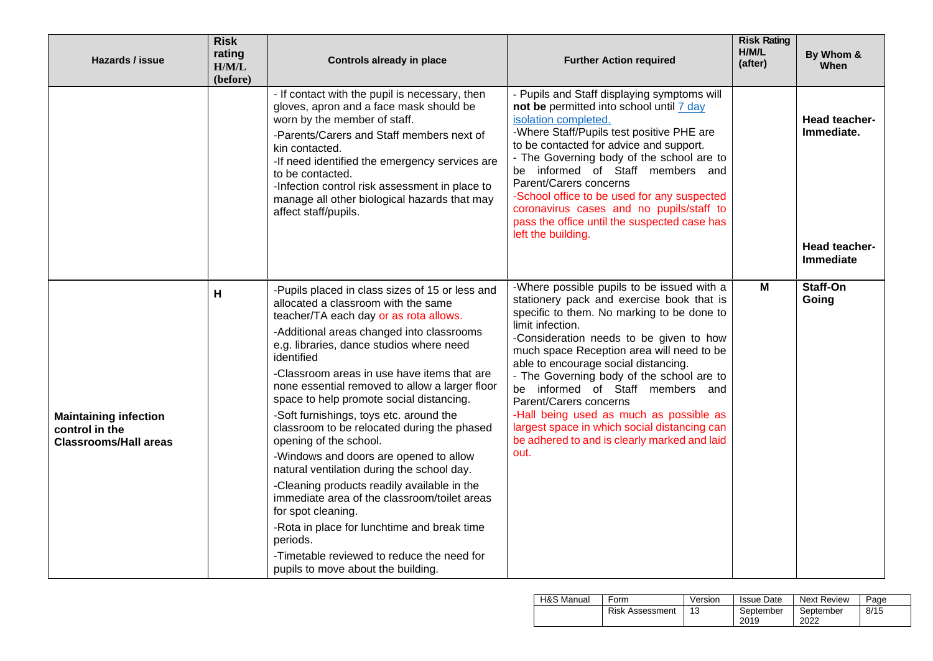| Hazards / issue                                                                | <b>Risk</b><br>rating<br>H/M/L<br>(before) | <b>Controls already in place</b>                                                                                                                                                                                                                                                                                                                                                                                                                                                                                                                                                                                                                                                                                                                                                                                                                                     | <b>Further Action required</b>                                                                                                                                                                                                                                                                                                                                                                                                                                                                                                                          | <b>Risk Rating</b><br>H/M/L<br>(after) | By Whom &<br>When                                                       |
|--------------------------------------------------------------------------------|--------------------------------------------|----------------------------------------------------------------------------------------------------------------------------------------------------------------------------------------------------------------------------------------------------------------------------------------------------------------------------------------------------------------------------------------------------------------------------------------------------------------------------------------------------------------------------------------------------------------------------------------------------------------------------------------------------------------------------------------------------------------------------------------------------------------------------------------------------------------------------------------------------------------------|---------------------------------------------------------------------------------------------------------------------------------------------------------------------------------------------------------------------------------------------------------------------------------------------------------------------------------------------------------------------------------------------------------------------------------------------------------------------------------------------------------------------------------------------------------|----------------------------------------|-------------------------------------------------------------------------|
|                                                                                |                                            | - If contact with the pupil is necessary, then<br>gloves, apron and a face mask should be<br>worn by the member of staff.<br>-Parents/Carers and Staff members next of<br>kin contacted.<br>-If need identified the emergency services are<br>to be contacted.<br>-Infection control risk assessment in place to<br>manage all other biological hazards that may<br>affect staff/pupils.                                                                                                                                                                                                                                                                                                                                                                                                                                                                             | - Pupils and Staff displaying symptoms will<br>not be permitted into school until 7 day<br>isolation completed.<br>-Where Staff/Pupils test positive PHE are<br>to be contacted for advice and support.<br>- The Governing body of the school are to<br>be informed of Staff members and<br>Parent/Carers concerns<br>-School office to be used for any suspected<br>coronavirus cases and no pupils/staff to<br>pass the office until the suspected case has<br>left the building.                                                                     |                                        | <b>Head teacher-</b><br>Immediate.<br><b>Head teacher-</b><br>Immediate |
| <b>Maintaining infection</b><br>control in the<br><b>Classrooms/Hall areas</b> | н                                          | -Pupils placed in class sizes of 15 or less and<br>allocated a classroom with the same<br>teacher/TA each day or as rota allows.<br>-Additional areas changed into classrooms<br>e.g. libraries, dance studios where need<br>identified<br>-Classroom areas in use have items that are<br>none essential removed to allow a larger floor<br>space to help promote social distancing.<br>-Soft furnishings, toys etc. around the<br>classroom to be relocated during the phased<br>opening of the school.<br>-Windows and doors are opened to allow<br>natural ventilation during the school day.<br>-Cleaning products readily available in the<br>immediate area of the classroom/toilet areas<br>for spot cleaning.<br>-Rota in place for lunchtime and break time<br>periods.<br>-Timetable reviewed to reduce the need for<br>pupils to move about the building. | -Where possible pupils to be issued with a<br>stationery pack and exercise book that is<br>specific to them. No marking to be done to<br>limit infection.<br>-Consideration needs to be given to how<br>much space Reception area will need to be<br>able to encourage social distancing.<br>- The Governing body of the school are to<br>be informed of Staff members and<br>Parent/Carers concerns<br>-Hall being used as much as possible as<br>largest space in which social distancing can<br>be adhered to and is clearly marked and laid<br>out. | M                                      | Staff-On<br>Going                                                       |

| <b>H&amp;S Manual</b> | Form                   | Version | <b>Issue Date</b> | <b>Next Review</b> | Page |
|-----------------------|------------------------|---------|-------------------|--------------------|------|
|                       | <b>Risk Assessment</b> | 13      | September<br>2019 | September<br>2022  | 8/15 |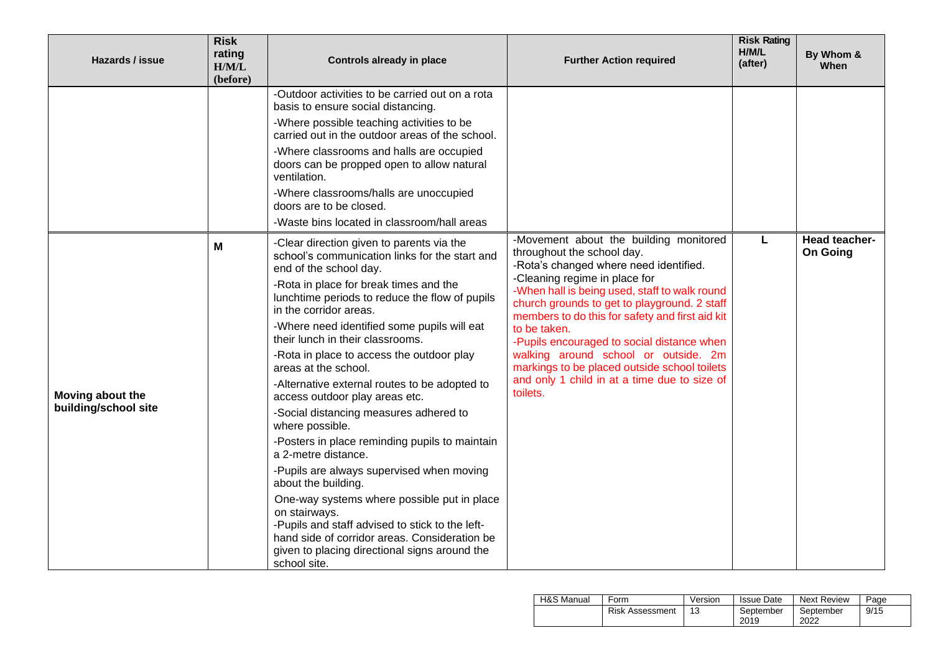| Hazards / issue                          | <b>Risk</b><br>rating<br>H/M/L<br>(before) | Controls already in place                                                                                                                                                                                                                                                                                                                                                                                                                                                                                                                                                                                                                                                                                                                                                                                                                                                                                                             | <b>Further Action required</b>                                                                                                                                                                                                                                                                                                                                                                                                                                                                                        | <b>Risk Rating</b><br>H/M/L<br>(after) | By Whom &<br><b>When</b>         |
|------------------------------------------|--------------------------------------------|---------------------------------------------------------------------------------------------------------------------------------------------------------------------------------------------------------------------------------------------------------------------------------------------------------------------------------------------------------------------------------------------------------------------------------------------------------------------------------------------------------------------------------------------------------------------------------------------------------------------------------------------------------------------------------------------------------------------------------------------------------------------------------------------------------------------------------------------------------------------------------------------------------------------------------------|-----------------------------------------------------------------------------------------------------------------------------------------------------------------------------------------------------------------------------------------------------------------------------------------------------------------------------------------------------------------------------------------------------------------------------------------------------------------------------------------------------------------------|----------------------------------------|----------------------------------|
|                                          |                                            | -Outdoor activities to be carried out on a rota<br>basis to ensure social distancing.<br>-Where possible teaching activities to be<br>carried out in the outdoor areas of the school.<br>-Where classrooms and halls are occupied<br>doors can be propped open to allow natural<br>ventilation.<br>-Where classrooms/halls are unoccupied<br>doors are to be closed.<br>-Waste bins located in classroom/hall areas                                                                                                                                                                                                                                                                                                                                                                                                                                                                                                                   |                                                                                                                                                                                                                                                                                                                                                                                                                                                                                                                       |                                        |                                  |
| Moving about the<br>building/school site | Μ                                          | -Clear direction given to parents via the<br>school's communication links for the start and<br>end of the school day.<br>-Rota in place for break times and the<br>lunchtime periods to reduce the flow of pupils<br>in the corridor areas.<br>-Where need identified some pupils will eat<br>their lunch in their classrooms.<br>-Rota in place to access the outdoor play<br>areas at the school.<br>-Alternative external routes to be adopted to<br>access outdoor play areas etc.<br>-Social distancing measures adhered to<br>where possible.<br>-Posters in place reminding pupils to maintain<br>a 2-metre distance.<br>-Pupils are always supervised when moving<br>about the building.<br>One-way systems where possible put in place<br>on stairways.<br>-Pupils and staff advised to stick to the left-<br>hand side of corridor areas. Consideration be<br>given to placing directional signs around the<br>school site. | -Movement about the building monitored<br>throughout the school day.<br>-Rota's changed where need identified.<br>-Cleaning regime in place for<br>-When hall is being used, staff to walk round<br>church grounds to get to playground. 2 staff<br>members to do this for safety and first aid kit<br>to be taken.<br>-Pupils encouraged to social distance when<br>walking around school or outside. 2m<br>markings to be placed outside school toilets<br>and only 1 child in at a time due to size of<br>toilets. | L                                      | Head teacher-<br><b>On Going</b> |

| H&S Manual | Form                   | Version | <b>Issue Date</b> | <b>Next Review</b> | Page |
|------------|------------------------|---------|-------------------|--------------------|------|
|            | <b>Risk Assessment</b> | 13      | September<br>2019 | September<br>2022  | 9/15 |
|            |                        |         |                   |                    |      |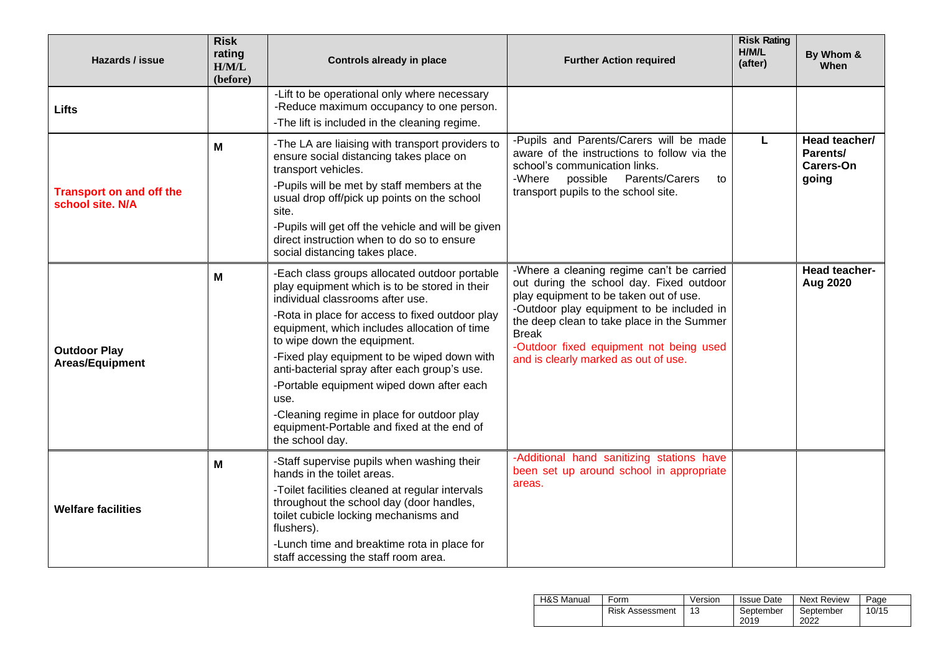| Hazards / issue                                     | <b>Risk</b><br>rating<br>H/M/L<br>(before) | <b>Controls already in place</b>                                                                                                                                                                                                                                                                                                                                                                                                                                                                                                        | <b>Further Action required</b>                                                                                                                                                                                                                                                                                                | <b>Risk Rating</b><br>H/M/L<br>(after) | By Whom &<br>When                                      |
|-----------------------------------------------------|--------------------------------------------|-----------------------------------------------------------------------------------------------------------------------------------------------------------------------------------------------------------------------------------------------------------------------------------------------------------------------------------------------------------------------------------------------------------------------------------------------------------------------------------------------------------------------------------------|-------------------------------------------------------------------------------------------------------------------------------------------------------------------------------------------------------------------------------------------------------------------------------------------------------------------------------|----------------------------------------|--------------------------------------------------------|
| Lifts                                               |                                            | -Lift to be operational only where necessary<br>-Reduce maximum occupancy to one person.<br>-The lift is included in the cleaning regime.                                                                                                                                                                                                                                                                                                                                                                                               |                                                                                                                                                                                                                                                                                                                               |                                        |                                                        |
| <b>Transport on and off the</b><br>school site. N/A | M                                          | -The LA are liaising with transport providers to<br>ensure social distancing takes place on<br>transport vehicles.<br>-Pupils will be met by staff members at the<br>usual drop off/pick up points on the school<br>site.<br>-Pupils will get off the vehicle and will be given<br>direct instruction when to do so to ensure<br>social distancing takes place.                                                                                                                                                                         | -Pupils and Parents/Carers will be made<br>aware of the instructions to follow via the<br>school's communication links.<br>Parents/Carers<br>-Where<br>possible<br>to<br>transport pupils to the school site.                                                                                                                 | L                                      | Head teacher/<br>Parents/<br><b>Carers-On</b><br>going |
| <b>Outdoor Play</b><br>Areas/Equipment              | M                                          | -Each class groups allocated outdoor portable<br>play equipment which is to be stored in their<br>individual classrooms after use.<br>-Rota in place for access to fixed outdoor play<br>equipment, which includes allocation of time<br>to wipe down the equipment.<br>-Fixed play equipment to be wiped down with<br>anti-bacterial spray after each group's use.<br>-Portable equipment wiped down after each<br>use.<br>-Cleaning regime in place for outdoor play<br>equipment-Portable and fixed at the end of<br>the school day. | -Where a cleaning regime can't be carried<br>out during the school day. Fixed outdoor<br>play equipment to be taken out of use.<br>-Outdoor play equipment to be included in<br>the deep clean to take place in the Summer<br><b>Break</b><br>-Outdoor fixed equipment not being used<br>and is clearly marked as out of use. |                                        | Head teacher-<br>Aug 2020                              |
| <b>Welfare facilities</b>                           | M                                          | -Staff supervise pupils when washing their<br>hands in the toilet areas.<br>-Toilet facilities cleaned at regular intervals<br>throughout the school day (door handles,<br>toilet cubicle locking mechanisms and<br>flushers).<br>-Lunch time and breaktime rota in place for<br>staff accessing the staff room area.                                                                                                                                                                                                                   | -Additional hand sanitizing stations have<br>been set up around school in appropriate<br>areas.                                                                                                                                                                                                                               |                                        |                                                        |

| H&S Manual | Form                   | Version | Issue Date        | <b>Next Review</b> | Page  |
|------------|------------------------|---------|-------------------|--------------------|-------|
|            | <b>Risk Assessment</b> | 13      | September<br>2019 | September<br>2022  | 10/15 |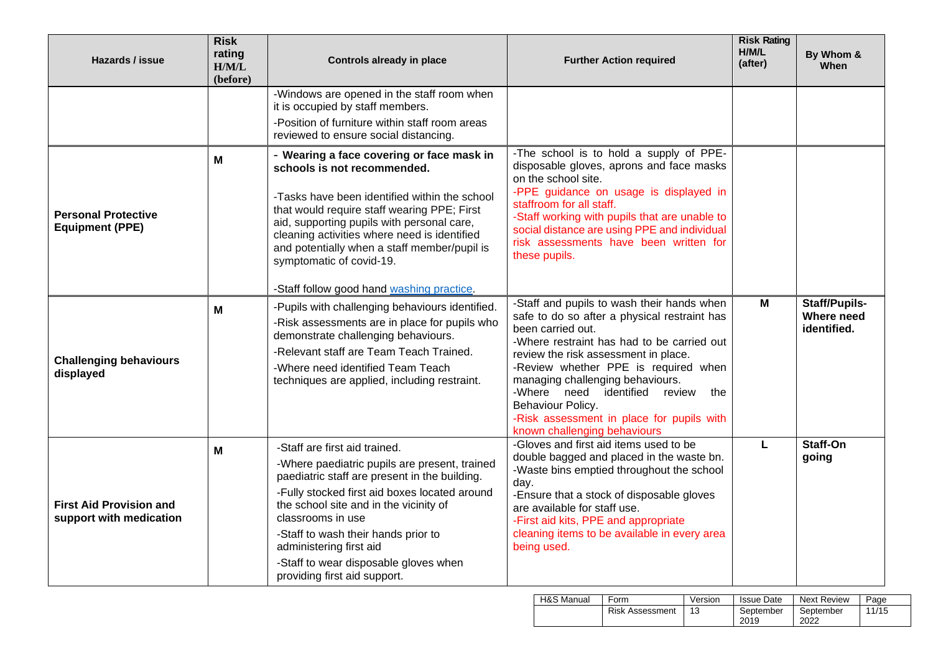| Hazards / issue                                           | <b>Risk</b><br>rating<br>H/M/L<br>(before) | <b>Controls already in place</b>                                                                                                                                                                                                                                                                                                                                                                | <b>Further Action required</b>                                                                                                                                                                                                                                                                                                                                                                                                 | <b>Risk Rating</b><br>H/M/L<br>(after) | By Whom &<br>When                                 |
|-----------------------------------------------------------|--------------------------------------------|-------------------------------------------------------------------------------------------------------------------------------------------------------------------------------------------------------------------------------------------------------------------------------------------------------------------------------------------------------------------------------------------------|--------------------------------------------------------------------------------------------------------------------------------------------------------------------------------------------------------------------------------------------------------------------------------------------------------------------------------------------------------------------------------------------------------------------------------|----------------------------------------|---------------------------------------------------|
|                                                           |                                            | -Windows are opened in the staff room when<br>it is occupied by staff members.<br>-Position of furniture within staff room areas<br>reviewed to ensure social distancing.                                                                                                                                                                                                                       |                                                                                                                                                                                                                                                                                                                                                                                                                                |                                        |                                                   |
| <b>Personal Protective</b><br><b>Equipment (PPE)</b>      | M                                          | - Wearing a face covering or face mask in<br>schools is not recommended.<br>-Tasks have been identified within the school<br>that would require staff wearing PPE; First<br>aid, supporting pupils with personal care,<br>cleaning activities where need is identified<br>and potentially when a staff member/pupil is<br>symptomatic of covid-19.<br>-Staff follow good hand washing practice. | -The school is to hold a supply of PPE-<br>disposable gloves, aprons and face masks<br>on the school site.<br>-PPE guidance on usage is displayed in<br>staffroom for all staff.<br>-Staff working with pupils that are unable to<br>social distance are using PPE and individual<br>risk assessments have been written for<br>these pupils.                                                                                   |                                        |                                                   |
| <b>Challenging behaviours</b><br>displayed                | M                                          | -Pupils with challenging behaviours identified.<br>-Risk assessments are in place for pupils who<br>demonstrate challenging behaviours.<br>-Relevant staff are Team Teach Trained.<br>-Where need identified Team Teach<br>techniques are applied, including restraint.                                                                                                                         | -Staff and pupils to wash their hands when<br>safe to do so after a physical restraint has<br>been carried out.<br>-Where restraint has had to be carried out<br>review the risk assessment in place.<br>-Review whether PPE is required when<br>managing challenging behaviours.<br>-Where need identified<br>review<br>the<br>Behaviour Policy.<br>-Risk assessment in place for pupils with<br>known challenging behaviours | M                                      | <b>Staff/Pupils-</b><br>Where need<br>identified. |
| <b>First Aid Provision and</b><br>support with medication | M                                          | -Staff are first aid trained.<br>-Where paediatric pupils are present, trained<br>paediatric staff are present in the building.<br>-Fully stocked first aid boxes located around<br>the school site and in the vicinity of<br>classrooms in use<br>-Staff to wash their hands prior to<br>administering first aid<br>-Staff to wear disposable gloves when<br>providing first aid support.      | -Gloves and first aid items used to be<br>double bagged and placed in the waste bn.<br>-Waste bins emptied throughout the school<br>day.<br>-Ensure that a stock of disposable gloves<br>are available for staff use.<br>-First aid kits, PPE and appropriate<br>cleaning items to be available in every area<br>being used.                                                                                                   | L                                      | Staff-On<br>going                                 |

| H&S Manual | Form                   | Version | <b>Issue Date</b> | <b>Next Review</b> | Page  |
|------------|------------------------|---------|-------------------|--------------------|-------|
|            | <b>Risk Assessment</b> | 13      | September<br>2019 | September<br>2022  | 11/15 |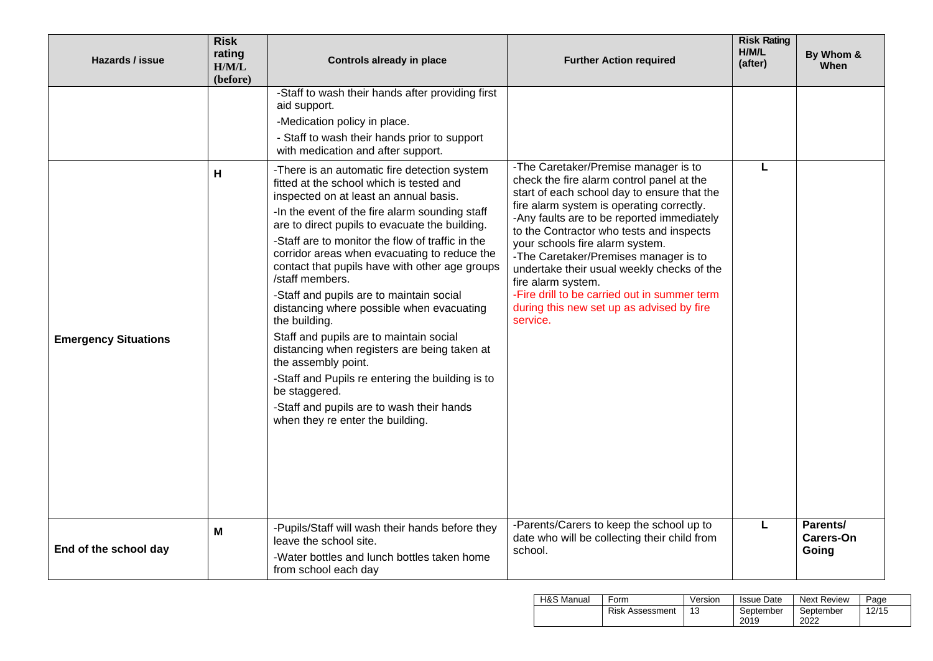| Hazards / issue             | <b>Risk</b><br>rating<br>H/M/L<br>(before) | <b>Controls already in place</b>                                                                                                                                                                                                                                                                                                                                                                                                                                                                                                                                                                                                                                                                                                                                                                                                                                                                                                                                                            | <b>Further Action required</b>                                                                                                                                                                                                                                                                                                                                                                                                                                                                                                   | <b>Risk Rating</b><br>H/M/L<br>(after) | By Whom &<br>When                     |
|-----------------------------|--------------------------------------------|---------------------------------------------------------------------------------------------------------------------------------------------------------------------------------------------------------------------------------------------------------------------------------------------------------------------------------------------------------------------------------------------------------------------------------------------------------------------------------------------------------------------------------------------------------------------------------------------------------------------------------------------------------------------------------------------------------------------------------------------------------------------------------------------------------------------------------------------------------------------------------------------------------------------------------------------------------------------------------------------|----------------------------------------------------------------------------------------------------------------------------------------------------------------------------------------------------------------------------------------------------------------------------------------------------------------------------------------------------------------------------------------------------------------------------------------------------------------------------------------------------------------------------------|----------------------------------------|---------------------------------------|
| <b>Emergency Situations</b> | Н                                          | -Staff to wash their hands after providing first<br>aid support.<br>-Medication policy in place.<br>- Staff to wash their hands prior to support<br>with medication and after support.<br>-There is an automatic fire detection system<br>fitted at the school which is tested and<br>inspected on at least an annual basis.<br>-In the event of the fire alarm sounding staff<br>are to direct pupils to evacuate the building.<br>-Staff are to monitor the flow of traffic in the<br>corridor areas when evacuating to reduce the<br>contact that pupils have with other age groups<br>/staff members.<br>-Staff and pupils are to maintain social<br>distancing where possible when evacuating<br>the building.<br>Staff and pupils are to maintain social<br>distancing when registers are being taken at<br>the assembly point.<br>-Staff and Pupils re entering the building is to<br>be staggered.<br>-Staff and pupils are to wash their hands<br>when they re enter the building. | -The Caretaker/Premise manager is to<br>check the fire alarm control panel at the<br>start of each school day to ensure that the<br>fire alarm system is operating correctly.<br>-Any faults are to be reported immediately<br>to the Contractor who tests and inspects<br>your schools fire alarm system.<br>-The Caretaker/Premises manager is to<br>undertake their usual weekly checks of the<br>fire alarm system.<br>-Fire drill to be carried out in summer term<br>during this new set up as advised by fire<br>service. | L                                      |                                       |
| End of the school day       | M                                          | -Pupils/Staff will wash their hands before they<br>leave the school site.<br>-Water bottles and lunch bottles taken home<br>from school each day                                                                                                                                                                                                                                                                                                                                                                                                                                                                                                                                                                                                                                                                                                                                                                                                                                            | -Parents/Carers to keep the school up to<br>date who will be collecting their child from<br>school.                                                                                                                                                                                                                                                                                                                                                                                                                              | L                                      | Parents/<br><b>Carers-On</b><br>Going |

| H&S Manual | Form                   | Version | <b>Issue Date</b> | <b>Next Review</b> | Page  |
|------------|------------------------|---------|-------------------|--------------------|-------|
|            | <b>Risk Assessment</b> | 13      | September<br>2019 | September<br>2022  | 12/15 |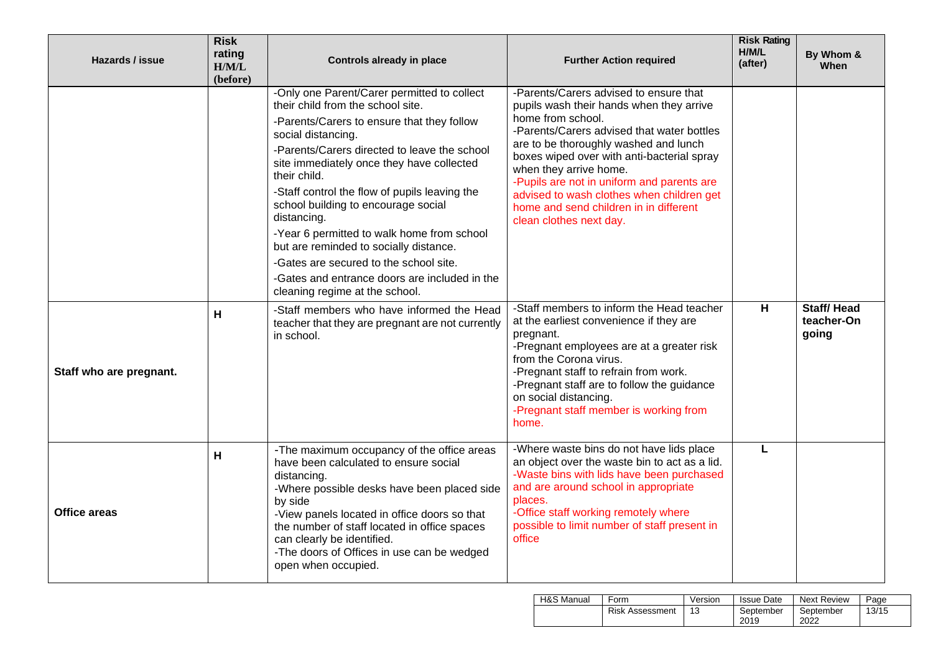| Hazards / issue         | <b>Risk</b><br>rating<br>H/M/L<br>(before) | <b>Controls already in place</b>                                                                                                                                                                                                                                                                                                                                                                                                                                                                                                                                                              | <b>Further Action required</b>                                                                                                                                                                                                                                                                                                                                                                                                         | <b>Risk Rating</b><br>H/M/L<br>(after) | By Whom &<br>When                        |
|-------------------------|--------------------------------------------|-----------------------------------------------------------------------------------------------------------------------------------------------------------------------------------------------------------------------------------------------------------------------------------------------------------------------------------------------------------------------------------------------------------------------------------------------------------------------------------------------------------------------------------------------------------------------------------------------|----------------------------------------------------------------------------------------------------------------------------------------------------------------------------------------------------------------------------------------------------------------------------------------------------------------------------------------------------------------------------------------------------------------------------------------|----------------------------------------|------------------------------------------|
|                         |                                            | -Only one Parent/Carer permitted to collect<br>their child from the school site.<br>-Parents/Carers to ensure that they follow<br>social distancing.<br>-Parents/Carers directed to leave the school<br>site immediately once they have collected<br>their child.<br>-Staff control the flow of pupils leaving the<br>school building to encourage social<br>distancing.<br>-Year 6 permitted to walk home from school<br>but are reminded to socially distance.<br>-Gates are secured to the school site.<br>-Gates and entrance doors are included in the<br>cleaning regime at the school. | -Parents/Carers advised to ensure that<br>pupils wash their hands when they arrive<br>home from school.<br>-Parents/Carers advised that water bottles<br>are to be thoroughly washed and lunch<br>boxes wiped over with anti-bacterial spray<br>when they arrive home.<br>-Pupils are not in uniform and parents are<br>advised to wash clothes when children get<br>home and send children in in different<br>clean clothes next day. |                                        |                                          |
| Staff who are pregnant. | H                                          | -Staff members who have informed the Head<br>teacher that they are pregnant are not currently<br>in school.                                                                                                                                                                                                                                                                                                                                                                                                                                                                                   | -Staff members to inform the Head teacher<br>at the earliest convenience if they are<br>pregnant.<br>-Pregnant employees are at a greater risk<br>from the Corona virus.<br>-Pregnant staff to refrain from work.<br>-Pregnant staff are to follow the guidance<br>on social distancing.<br>-Pregnant staff member is working from<br>home.                                                                                            | H                                      | <b>Staff/Head</b><br>teacher-On<br>going |
| Office areas            | H                                          | -The maximum occupancy of the office areas<br>have been calculated to ensure social<br>distancing.<br>-Where possible desks have been placed side<br>by side<br>-View panels located in office doors so that<br>the number of staff located in office spaces<br>can clearly be identified.<br>-The doors of Offices in use can be wedged<br>open when occupied.                                                                                                                                                                                                                               | -Where waste bins do not have lids place<br>an object over the waste bin to act as a lid.<br>-Waste bins with lids have been purchased<br>and are around school in appropriate<br>places.<br>-Office staff working remotely where<br>possible to limit number of staff present in<br>office                                                                                                                                            | L                                      |                                          |

| <b>H&amp;S Manual</b> | Form                   | Version | <b>Issue Date</b> | <b>Next Review</b> | Page  |
|-----------------------|------------------------|---------|-------------------|--------------------|-------|
|                       | <b>Risk Assessment</b> |         | September<br>2019 | September<br>2022  | 13/15 |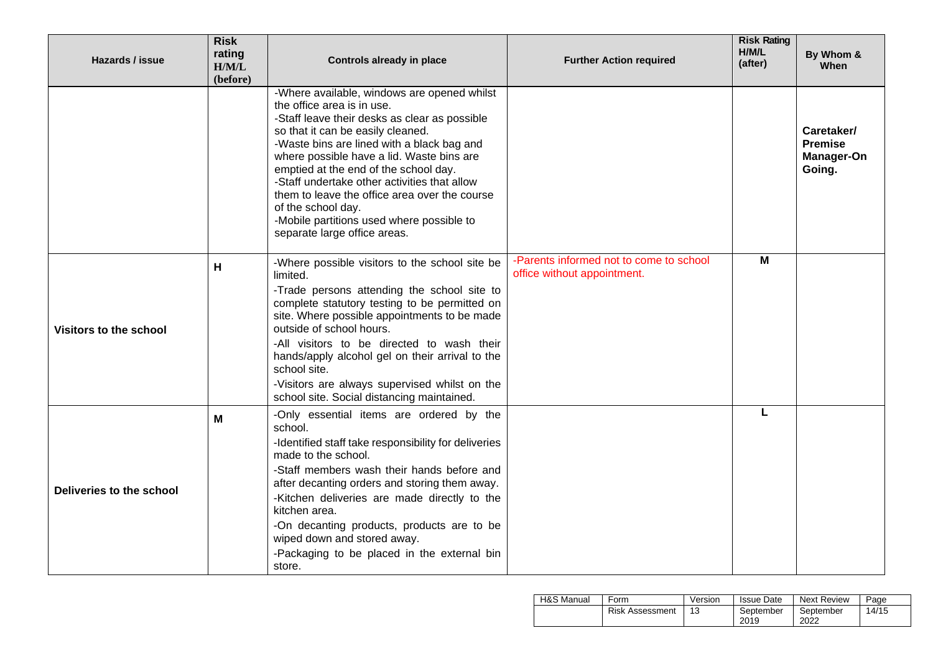| Hazards / issue          | <b>Risk</b><br>rating<br>H/M/L<br>(before) | <b>Controls already in place</b>                                                                                                                                                                                                                                                                                                                                                                                                                                                                        | <b>Further Action required</b>                                         | <b>Risk Rating</b><br>H/M/L<br>(after) | By Whom &<br>When                                           |
|--------------------------|--------------------------------------------|---------------------------------------------------------------------------------------------------------------------------------------------------------------------------------------------------------------------------------------------------------------------------------------------------------------------------------------------------------------------------------------------------------------------------------------------------------------------------------------------------------|------------------------------------------------------------------------|----------------------------------------|-------------------------------------------------------------|
|                          |                                            | -Where available, windows are opened whilst<br>the office area is in use.<br>-Staff leave their desks as clear as possible<br>so that it can be easily cleaned.<br>-Waste bins are lined with a black bag and<br>where possible have a lid. Waste bins are<br>emptied at the end of the school day.<br>-Staff undertake other activities that allow<br>them to leave the office area over the course<br>of the school day.<br>-Mobile partitions used where possible to<br>separate large office areas. |                                                                        |                                        | Caretaker/<br><b>Premise</b><br><b>Manager-On</b><br>Going. |
| Visitors to the school   | н                                          | -Where possible visitors to the school site be<br>limited.<br>-Trade persons attending the school site to<br>complete statutory testing to be permitted on<br>site. Where possible appointments to be made<br>outside of school hours.<br>-All visitors to be directed to wash their<br>hands/apply alcohol gel on their arrival to the<br>school site.<br>-Visitors are always supervised whilst on the<br>school site. Social distancing maintained.                                                  | -Parents informed not to come to school<br>office without appointment. | М                                      |                                                             |
| Deliveries to the school | M                                          | -Only essential items are ordered by the<br>school.<br>-Identified staff take responsibility for deliveries<br>made to the school.<br>-Staff members wash their hands before and<br>after decanting orders and storing them away.<br>-Kitchen deliveries are made directly to the<br>kitchen area.<br>-On decanting products, products are to be<br>wiped down and stored away.<br>-Packaging to be placed in the external bin<br>store.                                                                |                                                                        | L                                      |                                                             |

| H&S Manual | Form                   | Version | <b>Issue Date</b> | Next Review       | Page  |
|------------|------------------------|---------|-------------------|-------------------|-------|
|            | <b>Risk Assessment</b> | 13      | September<br>2019 | September<br>2022 | 14/15 |